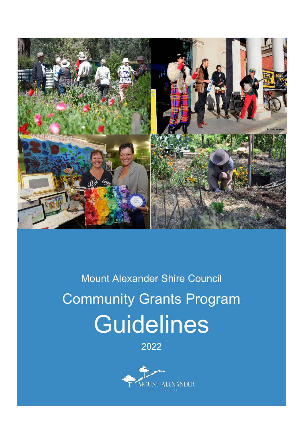

# Mount Alexander Shire Council Community Grants Program **Guidelines**

2022

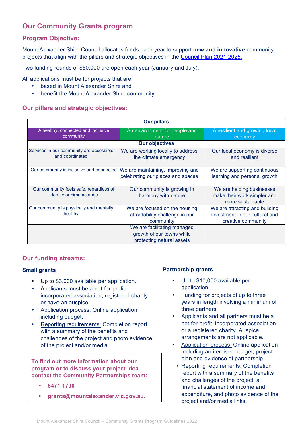# **Our Community Grants program**

# **Program Objective:**

Mount Alexander Shire Council allocates funds each year to support **new and innovative** community projects that align with the pillars and strategic objectives in the Council Plan 2021-2025.

Two funding rounds of \$50,000 are open each year (January and July).

All applications must be for projects that are:

- based in Mount Alexander Shire and
- benefit the Mount Alexander Shire community.

# **Our pillars and strategic objectives:**

| <b>Our pillars</b>                                                  |                                                                                       |                                                                                        |  |
|---------------------------------------------------------------------|---------------------------------------------------------------------------------------|----------------------------------------------------------------------------------------|--|
| A healthy, connected and inclusive<br>community                     | An environment for people and<br>nature                                               | A resilient and growing local<br>economy                                               |  |
| <b>Our objectives</b>                                               |                                                                                       |                                                                                        |  |
| Services in our community are accessible<br>and coordinated         | We are working locally to address<br>the climate emergency                            | Our local economy is diverse<br>and resilient                                          |  |
| Our community is inclusive and connected                            | We are maintaining, improving and<br>celebrating our places and spaces                | We are supporting continuous<br>learning and personal growth                           |  |
| Our community feels safe, regardless of<br>identity or circumstance | Our community is growing in<br>harmony with nature                                    | We are helping businesses<br>make their work simpler and<br>more sustainable           |  |
| Our community is physically and mentally<br>healthy                 | We are focused on the housing<br>affordability challenge in our<br>community          | We are attracting and building<br>investment in our cultural and<br>creative community |  |
|                                                                     | We are facilitating managed<br>growth of our towns while<br>protecting natural assets |                                                                                        |  |

# **Our funding streams:**

#### **Small grants**

- Up to \$3,000 available per application.
- Applicants must be a not-for-profit, incorporated association, registered charity or have an auspice.
- Application process: Online application including budget.
- Reporting requirements: Completion report with a summary of the benefits and challenges of the project and photo evidence of the project and/or media.

**To find out more information about our program or to discuss your project idea contact the Community Partnerships team:**

- **5471 1700**
- **grants@mountalexander.vic.gov.au.**

# **Partnership grants**

- Up to \$10,000 available per application.
- Funding for projects of up to three years in length involving a minimum of three partners.
- Applicants and all partners must be a not-for-profit, incorporated association or a registered charity. Auspice arrangements are not applicable.
- Application process: Online application including an itemised budget, project plan and evidence of partnership.
- Reporting requirements: Completion report with a summary of the benefits and challenges of the project, a financial statement of income and expenditure, and photo evidence of the project and/or media links.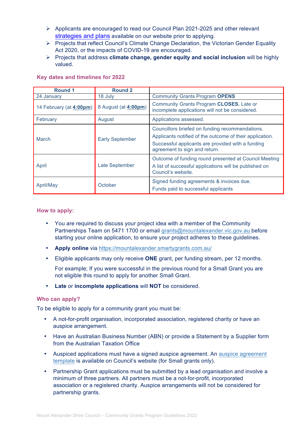- $\triangleright$  Applicants are encouraged to read our Council Plan 2021-2025 and other relevant strategies and plans available on our website prior to applying.
- Ø Projects that reflect Council's Climate Change Declaration, the Victorian Gender Equality Act 2020, or the impacts of COVID-19 are encouraged.
- Ø Projects that address **climate change, gender equity and social inclusion** will be highly valued.

| <b>Round 1</b>          | <b>Round 2</b>         |                                                                                                                                                                                                   |
|-------------------------|------------------------|---------------------------------------------------------------------------------------------------------------------------------------------------------------------------------------------------|
| 24 January              | 18 July                | <b>Community Grants Program OPENS</b>                                                                                                                                                             |
| 14 February (at 4:00pm) | 8 August (at 4:00pm)   | Community Grants Program CLOSES. Late or<br>incomplete applications will not be considered.                                                                                                       |
| February                | August                 | Applications assessed.                                                                                                                                                                            |
| March                   | <b>Early September</b> | Councillors briefed on funding recommendations.<br>Applicants notified of the outcome of their application.<br>Successful applicants are provided with a funding<br>agreement to sign and return. |
| April                   | Late September         | Outcome of funding round presented at Council Meeting<br>A list of successful applications will be published on<br>Council's website.                                                             |
| April/May               | October                | Signed funding agreements & invoices due.<br>Funds paid to successful applicants                                                                                                                  |

#### **Key dates and timelines for 2022**

#### **How to apply:**

- You are required to discuss your project idea with a member of the Community Partnerships Team on 5471 1700 or email grants@mountalexander.vic.gov.au before starting your online application, to ensure your project adheres to these guidelines.
- **Apply online** via https://mountalexander.smartygrants.com.au/
- Eligible applicants may only receive **ONE** grant, per funding stream, per 12 months.

For example; If you were successful in the previous round for a Small Grant you are not eligible this round to apply for another Small Grant.

• **Late** or **incomplete applications** will **NOT** be considered.

#### **Who can apply?**

To be eligible to apply for a community grant you must be:

- A not-for-profit organisation, incorporated association, registered charity or have an auspice arrangement.
- Have an Australian Business Number (ABN) or provide a Statement by a Supplier form from the Australian Taxation Office
- Auspiced applications must have a signed auspice agreement. An auspice agreement template is available on Council's website (for Small grants only).
- Partnership Grant applications must be submitted by a lead organisation and involve a minimum of three partners. All partners must be a not-for-profit, incorporated association or a registered charity. Auspice arrangements will not be considered for partnership grants.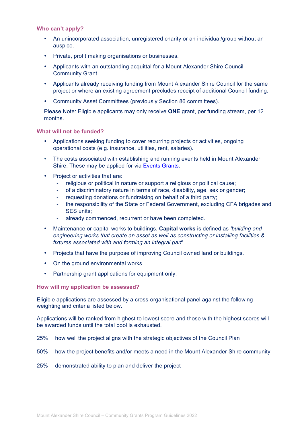#### **Who can't apply?**

- An unincorporated association, unregistered charity or an individual/group without an auspice.
- Private, profit making organisations or businesses.
- Applicants with an outstanding acquittal for a Mount Alexander Shire Council Community Grant.
- Applicants already receiving funding from Mount Alexander Shire Council for the same project or where an existing agreement precludes receipt of additional Council funding.
- Community Asset Committees (previously Section 86 committees).

Please Note: Eligible applicants may only receive **ONE** grant, per funding stream, per 12 months.

#### **What will not be funded?**

- Applications seeking funding to cover recurring projects or activities, ongoing operational costs (e.g. insurance, utilities, rent, salaries).
- The costs associated with establishing and running events held in Mount Alexander Shire. These may be applied for via Events Grants.
- Project or activities that are:
	- religious or political in nature or support a religious or political cause;
	- of a discriminatory nature in terms of race, disability, age, sex or gender;
	- requesting donations or fundraising on behalf of a third party;
	- the responsibility of the State or Federal Government, excluding CFA brigades and SES units;
	- already commenced, recurrent or have been completed.
- Maintenance or capital works to buildings. **Capital works** is defined as *'building and engineering works that create an asset as well as constructing or installing facilities & fixtures associated with and forming an integral part'.*
- Projects that have the purpose of improving Council owned land or buildings.
- On the ground environmental works.
- Partnership grant applications for equipment only.

**How will my application be assessed?**

Eligible applications are assessed by a cross-organisational panel against the following weighting and criteria listed below.

Applications will be ranked from highest to lowest score and those with the highest scores will be awarded funds until the total pool is exhausted.

- 25% how well the project aligns with the strategic objectives of the Council Plan
- 50% how the project benefits and/or meets a need in the Mount Alexander Shire community
- 25% demonstrated ability to plan and deliver the project